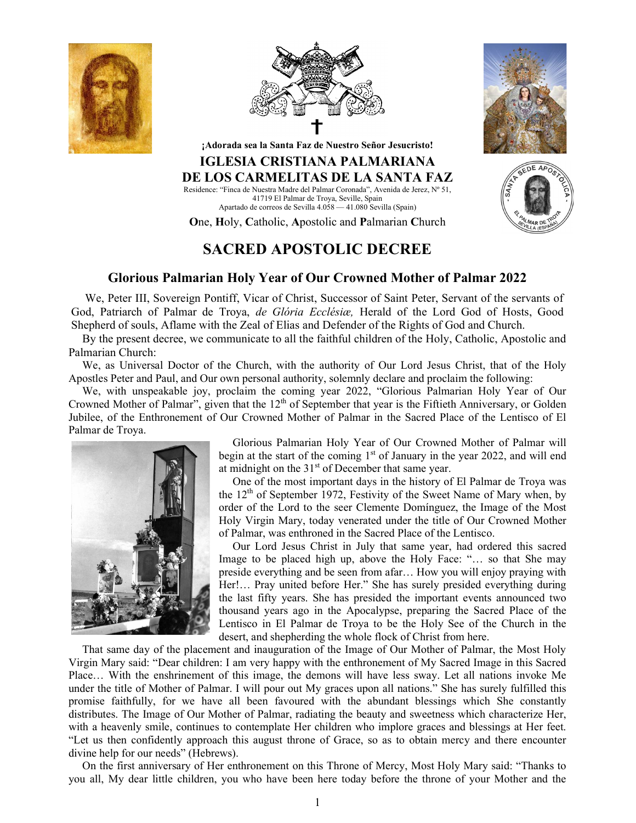





GEDE APO

¡Adorada sea la Santa Faz de Nuestro Señor Jesucristo!

## IGLESIA CRISTIANA PALMARIANA DE LOS CARMELITAS DE LA SANTA FAZ Residence: "Finca de Nuestra Madre del Palmar Coronada", Avenida de Jerez, Nº 51,

41719 El Palmar de Troya, Seville, Spain Apartado de correos de Sevilla 4.058 — 41.080 Sevilla (Spain)

One, Holy, Catholic, Apostolic and Palmarian Church

## SACRED APOSTOLIC DECREE

## Glorious Palmarian Holy Year of Our Crowned Mother of Palmar 2022

We, Peter III, Sovereign Pontiff, Vicar of Christ, Successor of Saint Peter, Servant of the servants of God, Patriarch of Palmar de Troya, de Glória Ecclésiæ, Herald of the Lord God of Hosts, Good Shepherd of souls, Aflame with the Zeal of Elias and Defender of the Rights of God and Church.

By the present decree, we communicate to all the faithful children of the Holy, Catholic, Apostolic and Palmarian Church:

We, as Universal Doctor of the Church, with the authority of Our Lord Jesus Christ, that of the Holy Apostles Peter and Paul, and Our own personal authority, solemnly declare and proclaim the following:

We, with unspeakable joy, proclaim the coming year 2022, "Glorious Palmarian Holy Year of Our Crowned Mother of Palmar", given that the  $12<sup>th</sup>$  of September that year is the Fiftieth Anniversary, or Golden Jubilee, of the Enthronement of Our Crowned Mother of Palmar in the Sacred Place of the Lentisco of El Palmar de Troya.



Glorious Palmarian Holy Year of Our Crowned Mother of Palmar will begin at the start of the coming  $1<sup>st</sup>$  of January in the year 2022, and will end at midnight on the  $31<sup>st</sup>$  of December that same year.

One of the most important days in the history of El Palmar de Troya was the  $12<sup>th</sup>$  of September 1972, Festivity of the Sweet Name of Mary when, by order of the Lord to the seer Clemente Domínguez, the Image of the Most Holy Virgin Mary, today venerated under the title of Our Crowned Mother of Palmar, was enthroned in the Sacred Place of the Lentisco.

Our Lord Jesus Christ in July that same year, had ordered this sacred Image to be placed high up, above the Holy Face: "… so that She may preside everything and be seen from afar… How you will enjoy praying with Her!… Pray united before Her." She has surely presided everything during the last fifty years. She has presided the important events announced two thousand years ago in the Apocalypse, preparing the Sacred Place of the Lentisco in El Palmar de Troya to be the Holy See of the Church in the desert, and shepherding the whole flock of Christ from here.

That same day of the placement and inauguration of the Image of Our Mother of Palmar, the Most Holy Virgin Mary said: "Dear children: I am very happy with the enthronement of My Sacred Image in this Sacred Place… With the enshrinement of this image, the demons will have less sway. Let all nations invoke Me under the title of Mother of Palmar. I will pour out My graces upon all nations." She has surely fulfilled this promise faithfully, for we have all been favoured with the abundant blessings which She constantly distributes. The Image of Our Mother of Palmar, radiating the beauty and sweetness which characterize Her, with a heavenly smile, continues to contemplate Her children who implore graces and blessings at Her feet. "Let us then confidently approach this august throne of Grace, so as to obtain mercy and there encounter divine help for our needs" (Hebrews).

On the first anniversary of Her enthronement on this Throne of Mercy, Most Holy Mary said: "Thanks to you all, My dear little children, you who have been here today before the throne of your Mother and the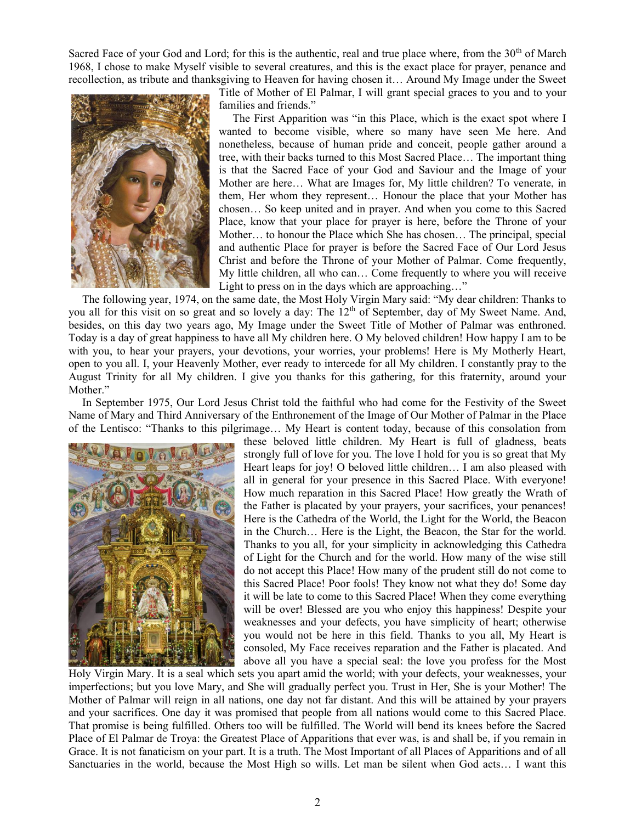Sacred Face of your God and Lord; for this is the authentic, real and true place where, from the  $30<sup>th</sup>$  of March 1968, I chose to make Myself visible to several creatures, and this is the exact place for prayer, penance and recollection, as tribute and thanksgiving to Heaven for having chosen it… Around My Image under the Sweet



Title of Mother of El Palmar, I will grant special graces to you and to your families and friends."

The First Apparition was "in this Place, which is the exact spot where I wanted to become visible, where so many have seen Me here. And nonetheless, because of human pride and conceit, people gather around a tree, with their backs turned to this Most Sacred Place… The important thing is that the Sacred Face of your God and Saviour and the Image of your Mother are here… What are Images for, My little children? To venerate, in them, Her whom they represent… Honour the place that your Mother has chosen… So keep united and in prayer. And when you come to this Sacred Place, know that your place for prayer is here, before the Throne of your Mother… to honour the Place which She has chosen… The principal, special and authentic Place for prayer is before the Sacred Face of Our Lord Jesus Christ and before the Throne of your Mother of Palmar. Come frequently, My little children, all who can… Come frequently to where you will receive Light to press on in the days which are approaching…"

The following year, 1974, on the same date, the Most Holy Virgin Mary said: "My dear children: Thanks to you all for this visit on so great and so lovely a day: The 12<sup>th</sup> of September, day of My Sweet Name. And, besides, on this day two years ago, My Image under the Sweet Title of Mother of Palmar was enthroned. Today is a day of great happiness to have all My children here. O My beloved children! How happy I am to be with you, to hear your prayers, your devotions, your worries, your problems! Here is My Motherly Heart, open to you all. I, your Heavenly Mother, ever ready to intercede for all My children. I constantly pray to the August Trinity for all My children. I give you thanks for this gathering, for this fraternity, around your Mother."

In September 1975, Our Lord Jesus Christ told the faithful who had come for the Festivity of the Sweet Name of Mary and Third Anniversary of the Enthronement of the Image of Our Mother of Palmar in the Place of the Lentisco: "Thanks to this pilgrimage… My Heart is content today, because of this consolation from



these beloved little children. My Heart is full of gladness, beats strongly full of love for you. The love I hold for you is so great that My Heart leaps for joy! O beloved little children… I am also pleased with all in general for your presence in this Sacred Place. With everyone! How much reparation in this Sacred Place! How greatly the Wrath of the Father is placated by your prayers, your sacrifices, your penances! Here is the Cathedra of the World, the Light for the World, the Beacon in the Church… Here is the Light, the Beacon, the Star for the world. Thanks to you all, for your simplicity in acknowledging this Cathedra of Light for the Church and for the world. How many of the wise still do not accept this Place! How many of the prudent still do not come to this Sacred Place! Poor fools! They know not what they do! Some day it will be late to come to this Sacred Place! When they come everything will be over! Blessed are you who enjoy this happiness! Despite your weaknesses and your defects, you have simplicity of heart; otherwise you would not be here in this field. Thanks to you all, My Heart is consoled, My Face receives reparation and the Father is placated. And above all you have a special seal: the love you profess for the Most

Holy Virgin Mary. It is a seal which sets you apart amid the world; with your defects, your weaknesses, your imperfections; but you love Mary, and She will gradually perfect you. Trust in Her, She is your Mother! The Mother of Palmar will reign in all nations, one day not far distant. And this will be attained by your prayers and your sacrifices. One day it was promised that people from all nations would come to this Sacred Place. That promise is being fulfilled. Others too will be fulfilled. The World will bend its knees before the Sacred Place of El Palmar de Troya: the Greatest Place of Apparitions that ever was, is and shall be, if you remain in Grace. It is not fanaticism on your part. It is a truth. The Most Important of all Places of Apparitions and of all Sanctuaries in the world, because the Most High so wills. Let man be silent when God acts… I want this